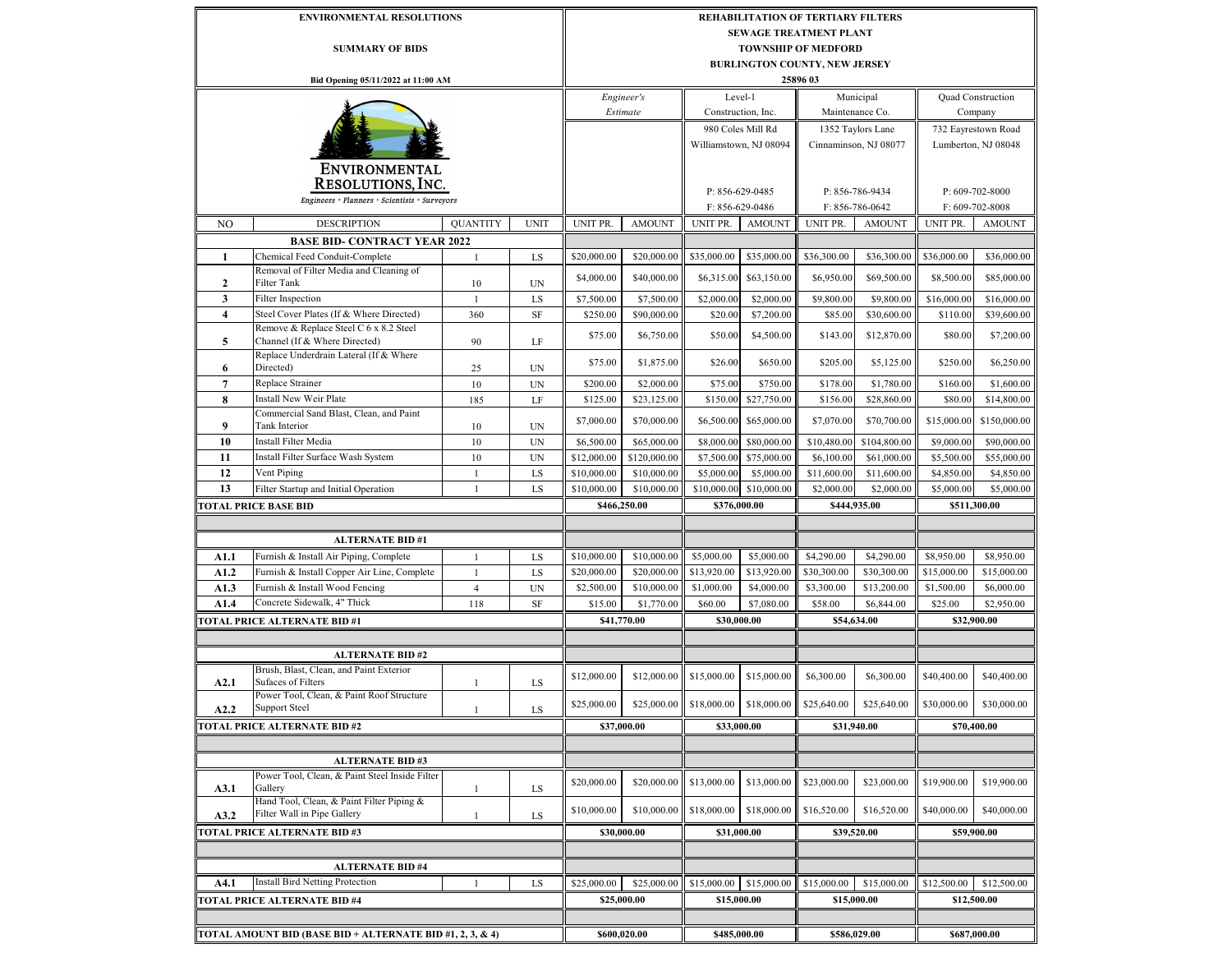|                                                           | <b>ENVIRONMENTAL RESOLUTIONS</b>                                                   |                 |             |                                    | <b>REHABILITATION OF TERTIARY FILTERS</b> |                                        |                                    |                            |                       |                            |                     |  |  |
|-----------------------------------------------------------|------------------------------------------------------------------------------------|-----------------|-------------|------------------------------------|-------------------------------------------|----------------------------------------|------------------------------------|----------------------------|-----------------------|----------------------------|---------------------|--|--|
|                                                           |                                                                                    |                 |             | <b>SEWAGE TREATMENT PLANT</b>      |                                           |                                        |                                    |                            |                       |                            |                     |  |  |
| <b>SUMMARY OF BIDS</b>                                    |                                                                                    |                 |             |                                    | <b>TOWNSHIP OF MEDFORD</b>                |                                        |                                    |                            |                       |                            |                     |  |  |
|                                                           |                                                                                    |                 |             |                                    | <b>BURLINGTON COUNTY, NEW JERSEY</b>      |                                        |                                    |                            |                       |                            |                     |  |  |
|                                                           | Bid Opening 05/11/2022 at 11:00 AM                                                 |                 |             |                                    |                                           |                                        |                                    | 25896 03                   |                       |                            |                     |  |  |
|                                                           |                                                                                    |                 |             |                                    | Engineer's<br>Level-1                     |                                        |                                    | Municipal                  |                       | Quad Construction          |                     |  |  |
|                                                           |                                                                                    |                 |             | Estimate                           |                                           | Construction, Inc.                     |                                    | Maintenance Co.            |                       | Company                    |                     |  |  |
|                                                           |                                                                                    |                 |             |                                    |                                           | 980 Coles Mill Rd                      |                                    | 1352 Taylors Lane          |                       | 732 Eayrestown Road        |                     |  |  |
|                                                           |                                                                                    |                 |             |                                    |                                           |                                        | Williamstown, NJ 08094             |                            | Cinnaminson, NJ 08077 |                            | Lumberton, NJ 08048 |  |  |
|                                                           |                                                                                    |                 |             |                                    |                                           |                                        |                                    |                            |                       |                            |                     |  |  |
|                                                           | <b>ENVIRONMENTAL</b>                                                               |                 |             |                                    |                                           |                                        |                                    |                            |                       |                            |                     |  |  |
|                                                           | <b>RESOLUTIONS, INC.</b>                                                           |                 |             |                                    |                                           |                                        |                                    |                            |                       |                            |                     |  |  |
| Engineers • Planners • Scientists • Surveyors             |                                                                                    |                 |             | P: 856-629-0485<br>F: 856-629-0486 |                                           |                                        | P: 856-786-9434<br>F: 856-786-0642 |                            |                       | P: 609-702-8000            |                     |  |  |
|                                                           |                                                                                    |                 |             |                                    |                                           |                                        |                                    |                            |                       |                            | F: 609-702-8008     |  |  |
| N <sub>O</sub>                                            | <b>DESCRIPTION</b>                                                                 | <b>QUANTITY</b> | <b>UNIT</b> | UNIT PR.                           | <b>AMOUNT</b>                             | UNIT PR.                               | <b>AMOUNT</b>                      | UNIT PR.                   | <b>AMOUNT</b>         | UNIT PR.                   | <b>AMOUNT</b>       |  |  |
|                                                           | <b>BASE BID- CONTRACT YEAR 2022</b>                                                |                 |             |                                    |                                           |                                        |                                    |                            |                       |                            |                     |  |  |
| 1                                                         | Chemical Feed Conduit-Complete                                                     | $\mathbf{1}$    | LS          | \$20,000.00                        | \$20,000.00                               | \$35,000.00                            | \$35,000.00                        | \$36,300.00                | \$36,300.00           | \$36,000.00                | \$36,000.00         |  |  |
| 2                                                         | Removal of Filter Media and Cleaning of<br>Filter Tank                             | 10              | UN          | \$4,000.00                         | \$40,000.00                               | \$6,315.00                             | \$63,150.00                        | \$6,950.00                 | \$69,500.00           | \$8,500.00                 | \$85,000.00         |  |  |
| $\mathbf{3}$                                              | <b>Filter Inspection</b>                                                           |                 |             | \$7,500.00                         |                                           |                                        |                                    |                            | \$9,800.00            |                            | \$16,000.00         |  |  |
|                                                           |                                                                                    | $\mathbf{1}$    | LS          |                                    | \$7,500.00                                | \$2,000.00                             | \$2,000.00                         | \$9,800.00                 |                       | \$16,000.00                |                     |  |  |
| $\overline{4}$                                            | Steel Cover Plates (If & Where Directed)<br>Remove & Replace Steel C 6 x 8.2 Steel | 360             | SF          | \$250.00                           | \$90,000.00                               | \$20.00                                | \$7,200.00                         | \$85.00                    | \$30,600.00           | \$110.00                   | \$39,600.00         |  |  |
| 5                                                         | Channel (If & Where Directed)                                                      | 90              | LF          | \$75.00                            | \$6,750.00                                | \$50.00                                | \$4,500.00                         | \$143.00                   | \$12,870.00           | \$80.00                    | \$7,200.00          |  |  |
|                                                           | Replace Underdrain Lateral (If & Where                                             |                 |             | \$75.00                            | \$1,875.00                                | \$26.00                                | \$650.00                           | \$205.00                   | \$5,125.00            | \$250.00                   | \$6,250.00          |  |  |
| 6                                                         | Directed)                                                                          | 25              | UN          |                                    |                                           |                                        |                                    |                            |                       |                            |                     |  |  |
| $\overline{7}$                                            | Replace Strainer                                                                   | 10              | UN          | \$200.00                           | \$2,000.00                                | \$75.00                                | \$750.00                           | \$178.00                   | \$1,780.00            | \$160.00                   | \$1,600.00          |  |  |
| 8                                                         | Install New Weir Plate                                                             | 185             | LF          | \$125.00                           | \$23,125.00                               | \$150.00                               | \$27,750.00                        | \$156.00                   | \$28,860.00           | \$80.00                    | \$14,800.00         |  |  |
| 9                                                         | Commercial Sand Blast, Clean, and Paint<br>Tank Interior                           | 10              | UN          | \$7,000.00                         | \$70,000.00                               | \$6,500.00                             | \$65,000.00                        | \$7,070.00                 | \$70,700.00           | \$15,000.00                | \$150,000.00        |  |  |
| 10                                                        | Install Filter Media                                                               | 10              |             | \$6,500.00                         | \$65,000.00                               | \$8,000.00                             | \$80,000.00                        | \$10,480.00                | \$104,800.00          | \$9,000.00                 | \$90,000.00         |  |  |
|                                                           |                                                                                    |                 | UN          |                                    |                                           |                                        |                                    |                            |                       |                            |                     |  |  |
| 11                                                        | Install Filter Surface Wash System                                                 | $10\,$          | <b>UN</b>   | \$12,000.00                        | \$120,000.00                              | \$7,500.00                             | \$75,000.00                        | \$6,100.00                 | \$61,000.00           | \$5,500.00                 | \$55,000.00         |  |  |
| 12                                                        | Vent Piping                                                                        | $\mathbf{1}$    | LS          | \$10,000.00                        | \$10,000.00                               | \$5,000.00                             | \$5,000.00                         | \$11,600.00                | \$11,600.00           | \$4,850.00                 | \$4,850.00          |  |  |
| 13                                                        | Filter Startup and Initial Operation                                               | $\mathbf{1}$    | LS          | \$10,000.00                        | \$10,000.00                               | \$10,000.00                            | \$10,000.00                        | \$2,000.00                 | \$2,000.00            | \$5,000.00                 | \$5,000.00          |  |  |
|                                                           | <b>TOTAL PRICE BASE BID</b>                                                        |                 |             | \$466,250.00<br>\$376,000.00       |                                           |                                        | \$444,935.00                       |                            | \$511,300.00          |                            |                     |  |  |
|                                                           |                                                                                    |                 |             |                                    |                                           |                                        |                                    |                            |                       |                            |                     |  |  |
|                                                           | <b>ALTERNATE BID#1</b>                                                             |                 |             |                                    |                                           |                                        |                                    |                            |                       |                            |                     |  |  |
| A1.1                                                      | Furnish & Install Air Piping, Complete                                             | $\mathbf{1}$    | LS          | \$10,000.00                        | \$10,000.00                               | \$5,000.00                             | \$5,000.00                         | \$4,290.00                 | \$4,290.00            | \$8,950.00                 | \$8,950.00          |  |  |
| A1.2                                                      | Furnish & Install Copper Air Line, Complete                                        | $\mathbf{1}$    | LS          | \$20,000.00                        | \$20,000.00                               | \$13,920.00                            | \$13,920.00                        | \$30,300.00                | \$30,300.00           | \$15,000.00                | \$15,000.00         |  |  |
| A1.3                                                      | Furnish & Install Wood Fencing                                                     | $\overline{4}$  | <b>UN</b>   | \$2,500.00                         | \$10,000.00                               | \$1,000.00                             | \$4,000.00                         | \$3,300.00                 | \$13,200.00           | \$1,500.00                 | \$6,000.00          |  |  |
| A1.4                                                      | Concrete Sidewalk, 4" Thick                                                        | 118             | SF          | \$15.00                            | \$1,770.00                                | \$60.00                                | \$7,080.00                         | \$58.00                    | \$6,844.00            | \$25.00                    | \$2,950.00          |  |  |
|                                                           | <b>TOTAL PRICE ALTERNATE BID #1</b>                                                |                 |             |                                    | \$41,770.00                               |                                        | \$30,000.00                        |                            | \$54,634.00           |                            | \$32,900.00         |  |  |
|                                                           |                                                                                    |                 |             |                                    |                                           |                                        |                                    |                            |                       |                            |                     |  |  |
|                                                           | <b>ALTERNATE BID#2</b>                                                             |                 |             |                                    |                                           |                                        |                                    |                            |                       |                            |                     |  |  |
|                                                           | Brush, Blast, Clean, and Paint Exterior                                            |                 |             |                                    |                                           |                                        |                                    |                            |                       |                            |                     |  |  |
| A2.1                                                      | <b>Sufaces of Filters</b><br>Power Tool, Clean, & Paint Roof Structure             | $\mathbf{1}$    | LS          | \$12,000.00                        | \$12,000.00                               | \$15,000.00                            | \$15,000.00                        | \$6,300.00                 | \$6,300.00            | \$40,400.00                | \$40,400.00         |  |  |
| A2.2                                                      | <b>Support Steel</b>                                                               | $\mathbf{1}$    | LS          | \$25,000.00                        |                                           | $$25,000.00$ $$18,000.00$ $$18,000.00$ |                                    | \$25,640.00                | \$25,640.00           | \$30,000.00                | \$30,000.00         |  |  |
|                                                           | TOTAL PRICE ALTERNATE BID #2                                                       | \$37,000.00     |             | \$33,000.00                        |                                           | \$31,940.00                            |                                    | \$70,400.00                |                       |                            |                     |  |  |
|                                                           |                                                                                    |                 |             |                                    |                                           |                                        |                                    |                            |                       |                            |                     |  |  |
|                                                           | <b>ALTERNATE BID#3</b>                                                             |                 |             |                                    |                                           |                                        |                                    |                            |                       |                            |                     |  |  |
|                                                           | Power Tool, Clean, & Paint Steel Inside Filter                                     |                 |             | \$20,000.00                        | \$20,000.00                               | \$13,000.00                            | \$13,000.00                        | \$23,000.00                | \$23,000.00           | \$19,900.00                | \$19,900.00         |  |  |
| A3.1                                                      | Gallery                                                                            | $\mathbf{1}$    | LS          |                                    |                                           |                                        |                                    |                            |                       |                            |                     |  |  |
| A3.2                                                      | Hand Tool, Clean, & Paint Filter Piping &<br>Filter Wall in Pipe Gallery           | $\mathbf{1}$    | LS          | \$10,000.00                        | \$10,000.00                               | \$18,000.00                            | \$18,000.00                        | \$16,520.00                | \$16,520.00           | \$40,000.00                | \$40,000.00         |  |  |
|                                                           | <b>TOTAL PRICE ALTERNATE BID #3</b>                                                |                 |             |                                    | \$30,000.00                               |                                        | \$31,000.00                        |                            | \$39,520.00           |                            | \$59,900.00         |  |  |
|                                                           |                                                                                    |                 |             |                                    |                                           |                                        |                                    |                            |                       |                            |                     |  |  |
|                                                           |                                                                                    |                 |             |                                    |                                           |                                        |                                    |                            |                       |                            |                     |  |  |
|                                                           | <b>ALTERNATE BID#4</b>                                                             |                 |             |                                    |                                           |                                        |                                    |                            |                       |                            |                     |  |  |
| A4.1                                                      | <b>Install Bird Netting Protection</b>                                             | $\mathbf{1}$    | LS          | \$25,000.00<br>\$25,000.00         |                                           | \$15,000.00 \$15,000.00                |                                    | \$15,000.00<br>\$15,000.00 |                       | \$12,500.00<br>\$12,500.00 |                     |  |  |
|                                                           | <b>[OTAL PRICE ALTERNATE BID #4</b>                                                |                 |             | \$25,000.00                        |                                           | \$15,000.00                            |                                    | \$15,000.00                |                       | \$12,500.00                |                     |  |  |
|                                                           |                                                                                    |                 |             |                                    |                                           |                                        |                                    |                            |                       |                            |                     |  |  |
| TOTAL AMOUNT BID (BASE BID + ALTERNATE BID #1, 2, 3, & 4) |                                                                                    |                 |             | \$600,020.00                       |                                           | \$485,000.00                           |                                    | \$586,029.00               |                       | \$687,000.00               |                     |  |  |